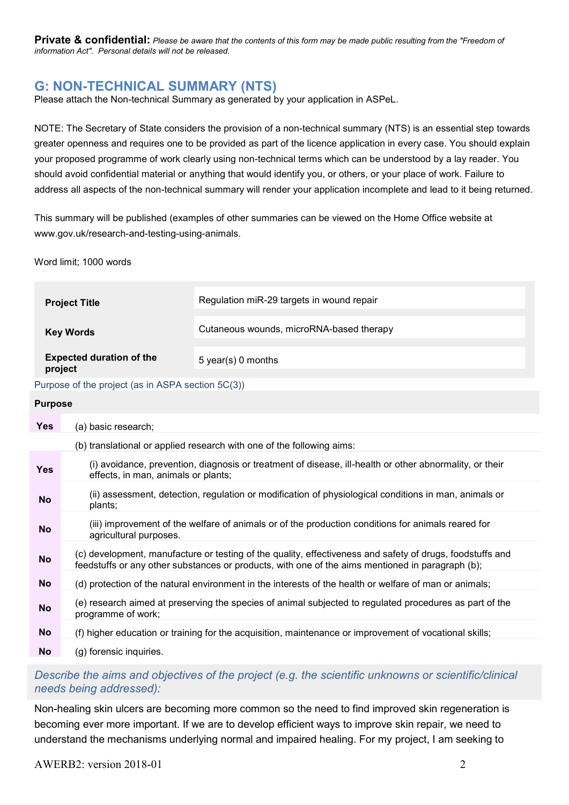Private & confidential: Please be aware that the contents of this form may be made public resulting from the "Freedom of information Act". Personal details will not be released.

# G: NON-TECHNICAL SUMMARY (NTS)

Please attach the Non-technical Summary as generated by your application in ASPeL.

NOTE: The Secretary of State considers the provision of a non-technical summary (NTS) is an essential step towards greater openness and requires one to be provided as part of the licence application in every case. You should explain your proposed programme of work clearly using non-technical terms which can be understood by a lay reader. You should avoid confidential material or anything that would identify you, or others, or your place of work. Failure to address all aspects of the non-technical summary will render your application incomplete and lead to it being returned.

This summary will be published (examples of other summaries can be viewed on the Home Office website at www.gov.uk/research-and-testing-using-animals.

Word limit; 1000 words

| <b>Project Title</b>                              | Regulation miR-29 targets in wound repair |
|---------------------------------------------------|-------------------------------------------|
| <b>Key Words</b>                                  | Cutaneous wounds, microRNA-based therapy  |
| <b>Expected duration of the</b><br>project        | 5 year(s) 0 months                        |
| Purpose of the project (as in ASPA section 5C(3)) |                                           |

#### Purpose

| <b>Yes</b> | (a) basic research;                                                                                                                                                                                           |  |
|------------|---------------------------------------------------------------------------------------------------------------------------------------------------------------------------------------------------------------|--|
|            | (b) translational or applied research with one of the following aims:                                                                                                                                         |  |
| <b>Yes</b> | (i) avoidance, prevention, diagnosis or treatment of disease, ill-health or other abnormality, or their<br>effects, in man, animals or plants;                                                                |  |
| <b>No</b>  | (ii) assessment, detection, regulation or modification of physiological conditions in man, animals or<br>plants;                                                                                              |  |
| <b>No</b>  | (iii) improvement of the welfare of animals or of the production conditions for animals reared for<br>agricultural purposes.                                                                                  |  |
| <b>No</b>  | (c) development, manufacture or testing of the quality, effectiveness and safety of drugs, foodstuffs and<br>feedstuffs or any other substances or products, with one of the aims mentioned in paragraph (b); |  |
| <b>No</b>  | (d) protection of the natural environment in the interests of the health or welfare of man or animals;                                                                                                        |  |
| <b>No</b>  | (e) research aimed at preserving the species of animal subjected to regulated procedures as part of the<br>programme of work;                                                                                 |  |
| <b>No</b>  | (f) higher education or training for the acquisition, maintenance or improvement of vocational skills;                                                                                                        |  |
| <b>No</b>  | (g) forensic inquiries.                                                                                                                                                                                       |  |

## Describe the aims and objectives of the project (e.g. the scientific unknowns or scientific/clinical needs being addressed):

Non-healing skin ulcers are becoming more common so the need to find improved skin regeneration is becoming ever more important. If we are to develop efficient ways to improve skin repair, we need to understand the mechanisms underlying normal and impaired healing. For my project, I am seeking to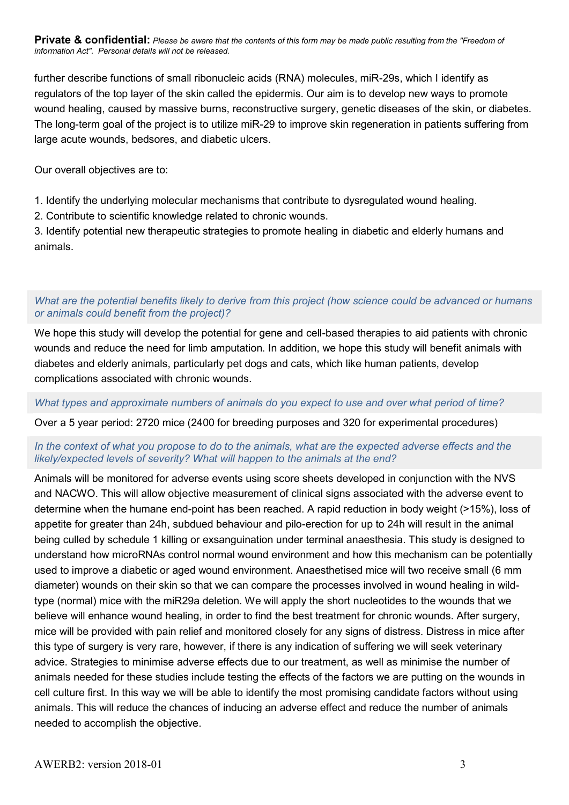Private & confidential: Please be aware that the contents of this form may be made public resulting from the "Freedom of information Act". Personal details will not be released.

further describe functions of small ribonucleic acids (RNA) molecules, miR-29s, which I identify as regulators of the top layer of the skin called the epidermis. Our aim is to develop new ways to promote wound healing, caused by massive burns, reconstructive surgery, genetic diseases of the skin, or diabetes. The long-term goal of the project is to utilize miR-29 to improve skin regeneration in patients suffering from large acute wounds, bedsores, and diabetic ulcers.

Our overall objectives are to:

1. Identify the underlying molecular mechanisms that contribute to dysregulated wound healing.

2. Contribute to scientific knowledge related to chronic wounds.

3. Identify potential new therapeutic strategies to promote healing in diabetic and elderly humans and animals.

## What are the potential benefits likely to derive from this project (how science could be advanced or humans or animals could benefit from the project)?

We hope this study will develop the potential for gene and cell-based therapies to aid patients with chronic wounds and reduce the need for limb amputation. In addition, we hope this study will benefit animals with diabetes and elderly animals, particularly pet dogs and cats, which like human patients, develop complications associated with chronic wounds.

### What types and approximate numbers of animals do you expect to use and over what period of time?

Over a 5 year period: 2720 mice (2400 for breeding purposes and 320 for experimental procedures)

## In the context of what you propose to do to the animals, what are the expected adverse effects and the likely/expected levels of severity? What will happen to the animals at the end?

Animals will be monitored for adverse events using score sheets developed in conjunction with the NVS and NACWO. This will allow objective measurement of clinical signs associated with the adverse event to determine when the humane end-point has been reached. A rapid reduction in body weight (>15%), loss of appetite for greater than 24h, subdued behaviour and pilo-erection for up to 24h will result in the animal being culled by schedule 1 killing or exsanguination under terminal anaesthesia. This study is designed to understand how microRNAs control normal wound environment and how this mechanism can be potentially used to improve a diabetic or aged wound environment. Anaesthetised mice will two receive small (6 mm diameter) wounds on their skin so that we can compare the processes involved in wound healing in wildtype (normal) mice with the miR29a deletion. We will apply the short nucleotides to the wounds that we believe will enhance wound healing, in order to find the best treatment for chronic wounds. After surgery, mice will be provided with pain relief and monitored closely for any signs of distress. Distress in mice after this type of surgery is very rare, however, if there is any indication of suffering we will seek veterinary advice. Strategies to minimise adverse effects due to our treatment, as well as minimise the number of animals needed for these studies include testing the effects of the factors we are putting on the wounds in cell culture first. In this way we will be able to identify the most promising candidate factors without using animals. This will reduce the chances of inducing an adverse effect and reduce the number of animals needed to accomplish the objective.